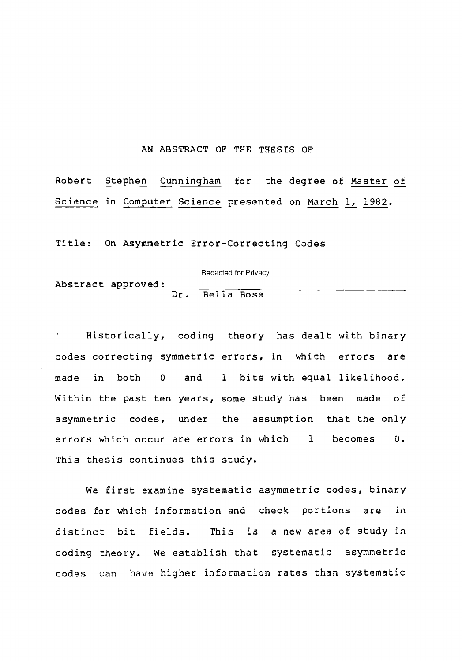#### AN ABSTRACT OF THE THESIS OF

Robert Stephen Cunningham for the degree of Master of Science in Computer Science presented on March 1, 1982.

Title: On Asymmetric Error-Correcting Codes

Abstract approved:  $\frac{D}{D}$ Redacted for Privacy Bella Bose

Historically, coding theory has dealt with binary codes correcting symmetric errors, in which errors are made in both <sup>0</sup> and <sup>1</sup> bits with equal likelihood. Within the past ten years, some study has been made of asymmetric codes, under the assumption that the only errors which occur are errors in which <sup>1</sup> becomes 0. This thesis continues this study.

We first examine systematic asymmetric codes, binary codes for which information and check portions are in distinct bit fields. This is a new area of study in coding theory. We establish that systematic asymmetric codes can have higher information rates than systematic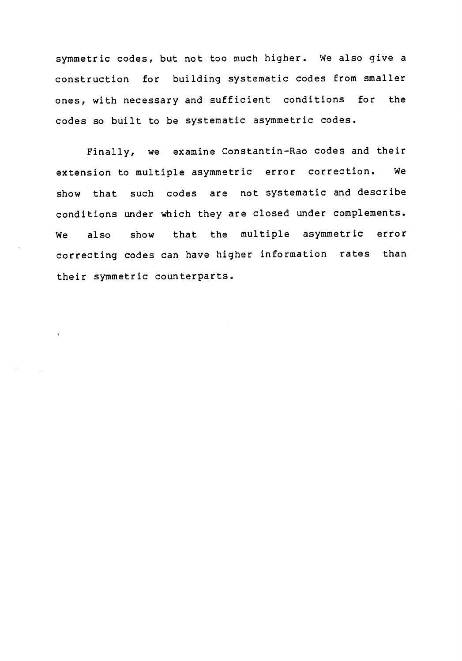symmetric codes, but not too much higher. We also give a construction for building systematic codes from smaller ones, with necessary and sufficient conditions for the codes so built to be systematic asymmetric codes.

Finally, we examine Constantin-Rao codes and their extension to multiple asymmetric error correction. We show that such codes are not systematic and describe conditions under which they are closed under complements. We also show that the multiple asymmetric error correcting codes can have higher information rates than their symmetric counterparts.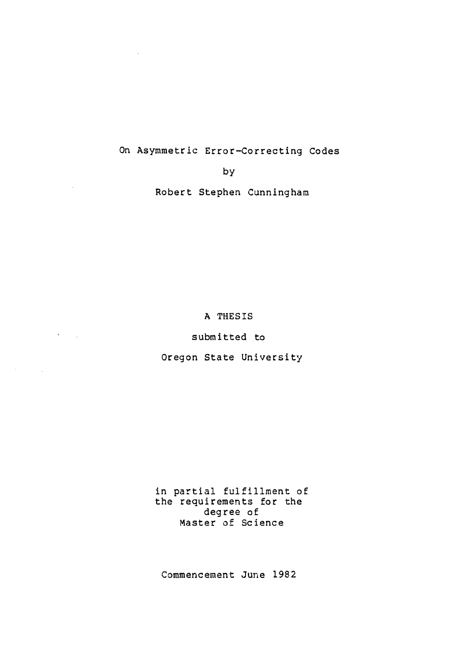## On Asymmetric Error-Correcting Codes

by

 $\sim 10^{-11}$ 

 $\mathcal{O}(\mathcal{A}^{\mathrm{c}})$  and  $\mathcal{O}(\mathcal{A}^{\mathrm{c}})$ 

 $\mathcal{A}^{\mathcal{A}}$  and  $\mathcal{A}^{\mathcal{A}}$  and  $\mathcal{A}^{\mathcal{A}}$ 

Robert Stephen Cunningham

A THESIS

submitted to

Oregon State University

in partial fulfillment of the requirements for the degree of Master of Science

Commencement June 1982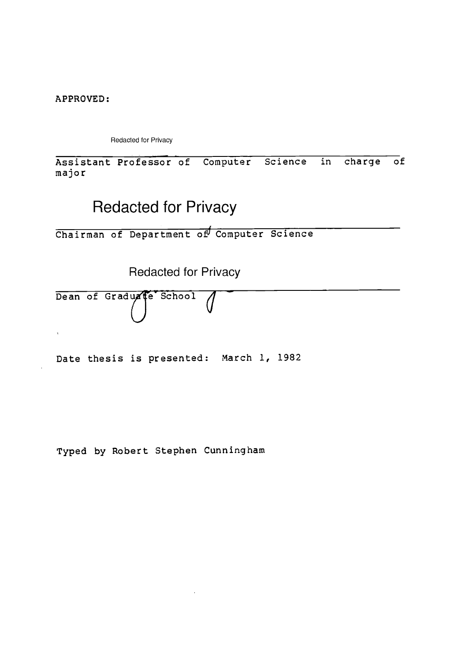APPROVED:

Redacted for Privacy

Assistant Professor of Computer Science in charge of major

# Redacted for Privacy

Chairman of Department of Computer Science

Redacted for Privacy

Dean of Graduate School 1  $\cup$ 

Date thesis is presented: March 1, 1982

Typed by Robert Stephen Cunningham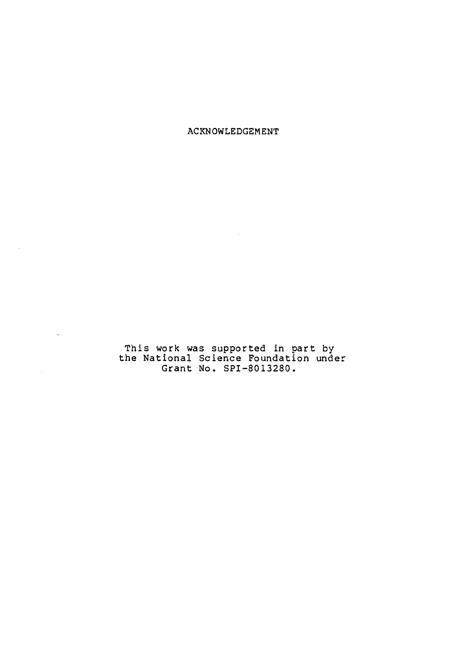ACKNOWLEDGEMENT

 $\sim$ 

This work was supported in part by the National Science Foundation under Grant No. SPI-8013280.

 $\sim 10^7$ 

 $\mathcal{A}^{\mathcal{A}}$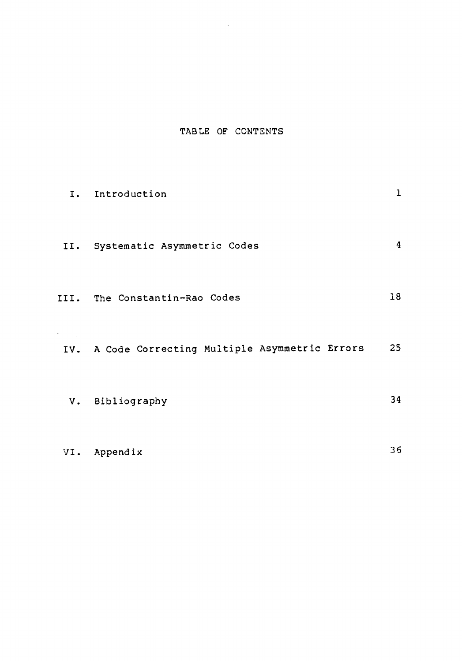## TABLE OF CONTENTS

 $\sim$   $\sim$ 

| I.       | Introduction                                     | 1  |
|----------|--------------------------------------------------|----|
|          | II. Systematic Asymmetric Codes                  | 4  |
|          | III. The Constantin-Rao Codes                    | 18 |
| $\tau$ . | IV. A Code Correcting Multiple Asymmetric Errors | 25 |
|          | V. Bibliography                                  | 34 |
| VI.      | Appendix                                         | 36 |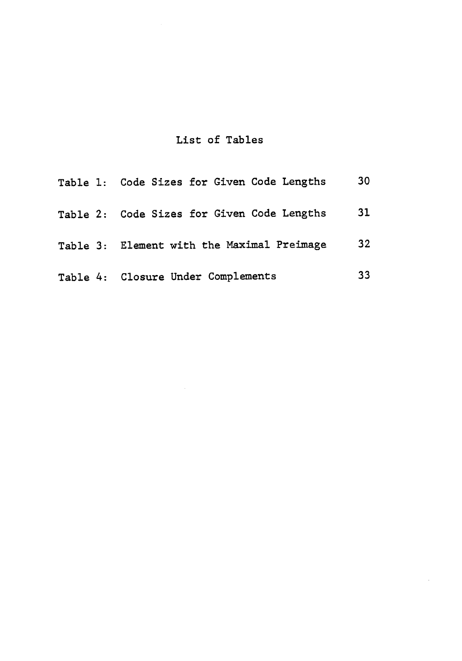# List of Tables

| Table 1: Code Sizes for Given Code Lengths | 30              |
|--------------------------------------------|-----------------|
| Table 2: Code Sizes for Given Code Lengths | 31              |
| Table 3: Element with the Maximal Preimage | 32 <sub>2</sub> |
| Table 4: Closure Under Complements         | 33              |

 $\bar{z}$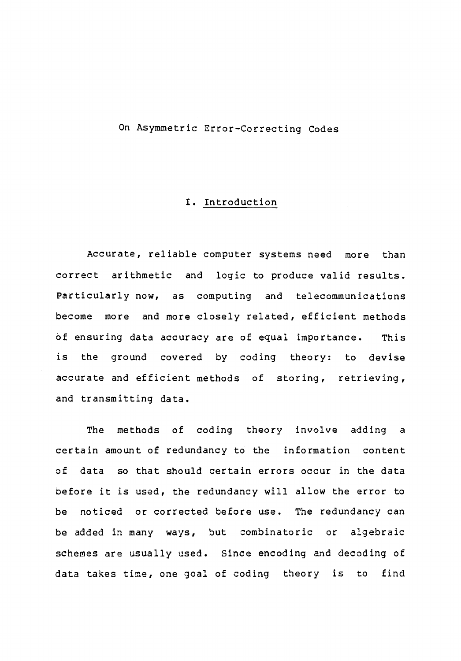#### On Asymmetric Error-Correcting Codes

#### I. Introduction

Accurate, reliable computer systems need more than correct arithmetic and logic to produce valid results. Particularly now, as computing and telecommunications become more and more closely related, efficient methods of ensuring data accuracy are of equal importance. This is the ground covered by coding theory: to devise accurate and efficient methods of storing, retrieving, and transmitting data.

The methods of coding theory involve adding a certain amount of redundancy to the information content of data so that should certain errors occur in the data before it is used, the redundancy will allow the error to be noticed or corrected before use. The redundancy can be added in many ways, but combinatoric or algebraic schemes are usually used. Since encoding and decoding of data takes time, one goal of coding theory is to find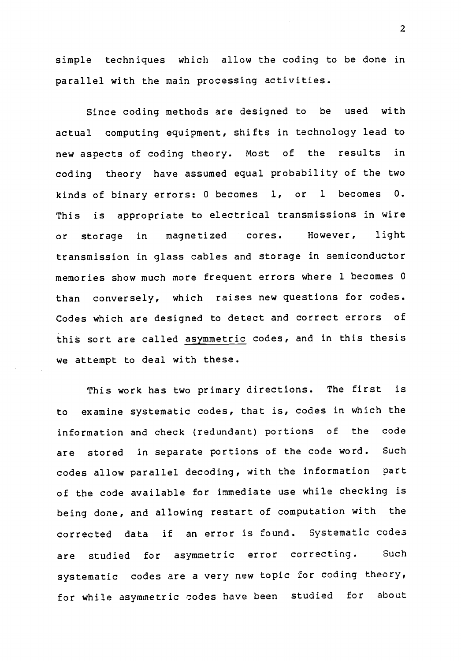simple techniques which allow the coding to be done in parallel with the main processing activities.

Since coding methods are designed to be used with actual computing equipment, shifts in technology lead to new aspects of coding theory. Most of the results in coding theory have assumed equal probability of the two kinds of binary errors: 0 becomes 1, or <sup>1</sup> becomes 0. This is appropriate to electrical transmissions in wire or storage in magnetized cores. However, light transmission in glass cables and storage in semiconductor memories show much more frequent errors where 1 becomes 0 than conversely, which raises new questions for codes. Codes which are designed to detect and correct errors of this sort are called asymmetric codes, and in this thesis we attempt to deal with these.

This work has two primary directions. The first is to examine systematic codes, that is, codes in which the information and check (redundant) portions of the code are stored in separate portions of the code word. Such codes allow parallel decoding, with the information part of the code available for immediate use while checking is being done, and allowing restart of computation with the corrected data if an error is found. Systematic codes are studied for asymmetric error correcting. Such systematic codes are a very new topic for coding theory, for while asymmetric codes have been studied for about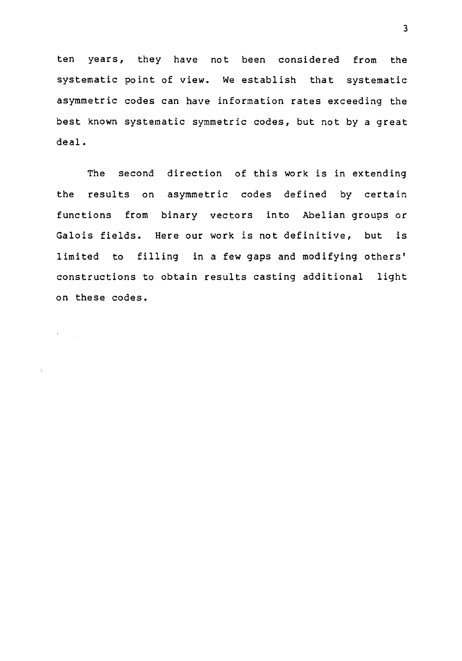ten years, they have not been considered from the systematic point of view. We establish that systematic asymmetric codes can have information rates exceeding the best known systematic symmetric codes, but not by a great deal.

The second direction of this work is in extending the results on asymmetric codes defined by certain functions from binary vectors into Abelian groups or Galois fields. Here our work is not definitive, but is limited to filling in a few gaps and modifying others' constructions to obtain results casting additional light on these codes.

3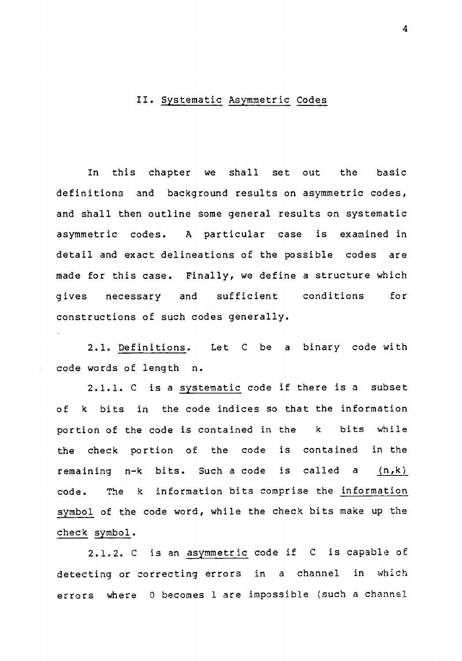#### II. Systematic Asymmetric Codes

In this chapter we shall set out the basic definitions and background results on asymmetric codes, and shall then outline some general results on systematic asymmetric codes. A particular case is examined in detail and exact delineations of the possible codes are made for this case. Finally, we define a structure which gives necessary and sufficient conditions for constructions of such codes generally.

2.1. Definitions. Let C be a binary code with code words of length n.

2.1.1. C is a systematic code if there is a subset of k bits in the code indices so that the information portion of the code is contained in the <sup>k</sup> bits while the check portion of the code is contained in the remaining n-k bits. Such a code is called a  $(n,k)$ code. The k information bits comprise the information symbol of the code word, while the check bits make up the check symbol.

2.1.2. C is an asymmetric code if C is capable of detecting or correcting errors in <sup>a</sup> channel in which errors where 0 becomes 1 are impossible (such a channel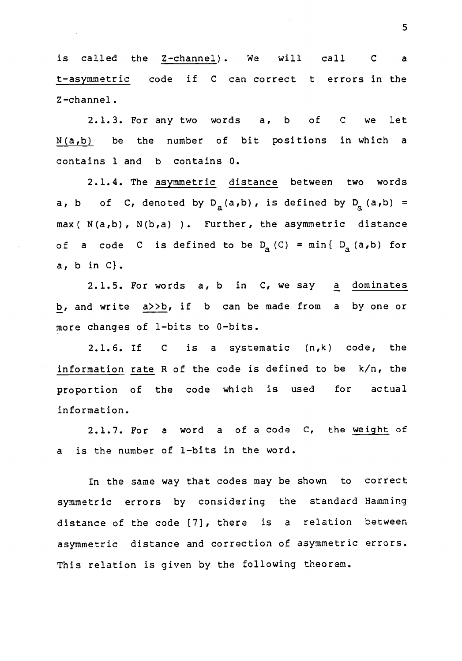is called the Z-channel). We will call C a t-asymmetric code if C can correct t errors in the Z-channel.

2.1.3. For any two words a, b of C we let N(a,b) be the number of bit positions in which a contains 1 and b contains 0.

2.1.4. The asymmetric distance between two words a, b of C, denoted by  $D_{a}(a,b)$ , is defined by  $D_{a}(a,b)$  = max( N(a,b), N(b,a) ). Further, the asymmetric distance of a code C is defined to be  $D_a (C) = min\{ D_a (a,b) \text{ for }$ a, b in C).

2.1.5. For words a, b in C, we say a dominates b, and write a>>b, if b can be made from a by one or more changes of 1-bits to 0-bits.

2.1.6. If C is <sup>a</sup> systematic (n,k) code, the information rate R of the code is defined to be k/n, the proportion of the code which is used for actual information.

2.1.7. For <sup>a</sup> word <sup>a</sup> of a code C, the weight of a is the number of 1-bits in the word.

In the same way that codes may be shown to correct symmetric errors by considering the standard Hamming distance of the code [7], there is <sup>a</sup> relation between asymmetric distance and correction of asymmetric errors. This relation is given by the following theorem.

5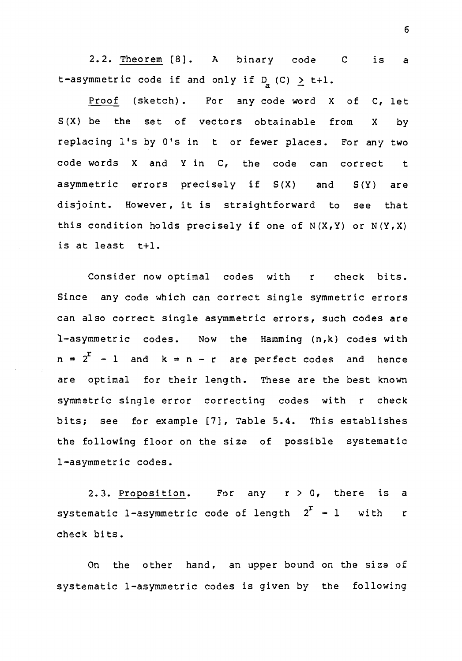2.2. Theorem [8]. A binary code C is a t-asymmetric code if and only if  $D_{q}$  (C)  $\geq$  t+1.

Proof (sketch). For any code word X of C, let S(X) be the set of vectors obtainable from X by replacing l's by 0's in t or fewer places. For any two code words X and Y in C, the code can correct t asymmetric errors precisely if S(X) and S(Y) are disjoint. However, it is straightforward to see that this condition holds precisely if one of  $N(X,Y)$  or  $N(Y,X)$ is at least  $t+1$ .

Consider now optimal codes with <sup>r</sup> check bits. Since any code which can correct single symmetric errors can also correct single asymmetric errors, such codes are 1-asymmetric codes. Now the Hamming (n,k) codes with  $n = 2<sup>r</sup> - 1$  and  $k = n - r$  are perfect codes and hence are optimal for their length. These are the best known symmetric single error correcting codes with <sup>r</sup> check bits; see for example [7], Table 5.4. This establishes the following floor on the size of possible systematic 1-asymmetric codes.

2.3. Proposition. For any  $r > 0$ , there is a systematic 1-asymmetric code of length  $2^{r}$  - 1 with r check bits.

On the other hand, an upper bound on the size of systematic 1-asymmetric codes is given by the following

6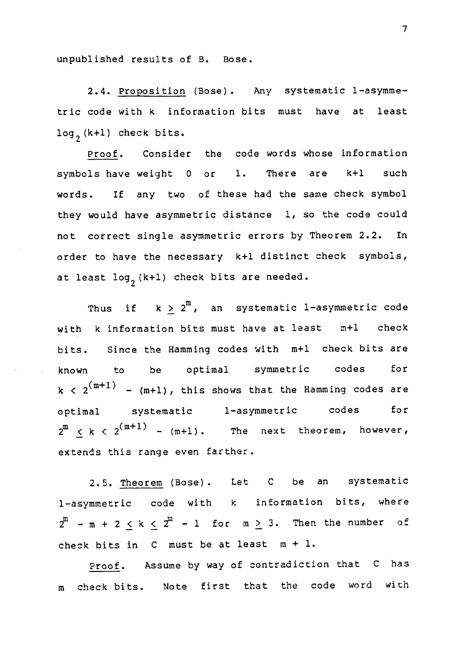unpublished results of B. Bose.

2.4. Proposition (Bose). Any systematic 1-asymmetric code with k information bits must have at least  $log<sub>2</sub>$  (k+1) check bits.

Proof. Consider the code words whose information symbols have weight 0 or 1. There are k+1 such words. If any two of these had the same check symbol they would have asymmetric distance 1, so the code could not correct single asymmetric errors by Theorem 2.2. In order to have the necessary k+1 distinct check symbols, at least  $log<sub>2</sub>$  (k+1) check bits are needed.

Thus if  $k$   $\geq$   $2^{\text{m}}$ , an systematic l-asymmetric code with k information bits must have at least m+1 check bits. Since the Hamming codes with m+1 check bits are known to be optimal symmetric codes for  $k < 2^{(m+1)}$  -  $(m+1)$ , this shows that the Hamming codes are optimal systematic 1-asymmetric codes for  $2^{\text{m}}$   $\leq$  k  $<$   $2^{\text{(m+1)}}$  - (m+1). The next theorem, however, extends this range even farther.

2.5. Theorem (Bose). Let <sup>C</sup> be an systematic 1-asymmetric code with <sup>k</sup> information bits, where  $2^m$  - m + 2 < k <  $2^m$  - 1 for m > 3. Then the number of check bits in C must be at least m + 1.

Proof. Assume by way of contradiction that <sup>C</sup> has m check bits. Note first that the code word with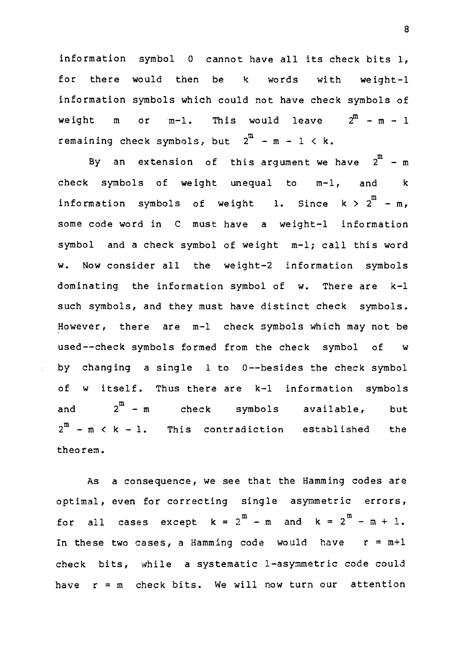information symbol <sup>0</sup> cannot have all its check bits 1, for there would then be k words with weight-1 information symbols which could not have check symbols of weight m or  $m-1$ . This would leave  $2^m - m - 1$ remaining check symbols, but  $2^m - m - 1 < k$ .

By an extension of this argument we have  $2^m - m$ check symbols of weight unequal to m-1, and information symbols of weight l. Since k  $>$  2  $^-$  - m, some code word in C must have a weight-1 information symbol and a check symbol of weight m-1; call this word w. Now consider all the weight-2 information symbols dominating the information symbol of w. There are k-1 such symbols, and they must have distinct check symbols. However, there are m-1 check symbols which may not be used--check symbols formed from the check symbol of w by changing a single 1 to 0--besides the check symbol of w itself. Thus there are k-1 information symbols and  $2^{\mathfrak{m}} - \mathfrak{m}$ check symbols available, but  $2^m$  - m  $\leq k$  - 1. This contradiction established the theorem.

As a consequence, we see that the Hamming codes are optimal, even for correcting single asymmetric errors, for all cases except  $k = 2^m - m$  and  $k = 2^m - m + 1$ . In these two cases, a Hamming code would have  $r = m+1$ check bits, while a systematic 1-asymmetric code could have  $r = m$  check bits. We will now turn our attention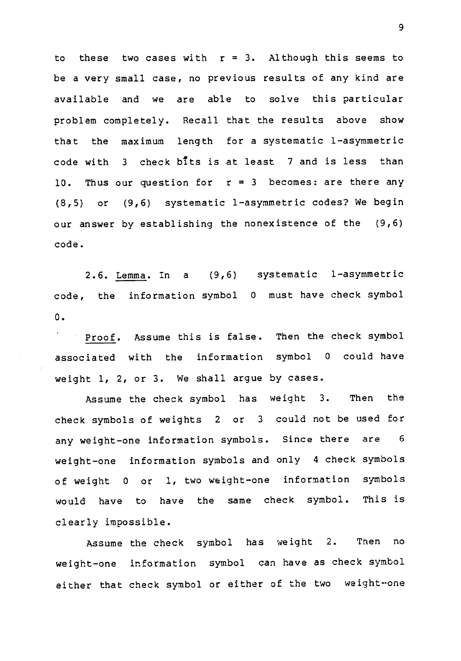to these two cases with  $r = 3$ . Although this seems to be a very small case, no previous results of any kind are available and we are able to solve this particular problem completely. Recall that the results above show that the maximum length for a systematic 1-asymmetric code with  $\beta$  check bits is at least  $\beta$  and is less than 10. Thus our question for  $r = 3$  becomes: are there any (8,5) or (9,6) systematic 1-asymmetric codes? We begin our answer by establishing the nonexistence of the (9,6) code.

2.6. Lemma. In a (9,6) systematic 1-asymmetric code, the information symbol <sup>0</sup> must have check symbol 0.

Proof. Assume this is false. Then the check symbol associated with the information symbol <sup>0</sup> could have weight 1, 2, or 3. We shall argue by cases.

Assume the check symbol has weight 3. Then the check symbols of weights <sup>2</sup> or <sup>3</sup> could not be used for any weight-one information symbols. Since there are <sup>6</sup> weight-one information symbols and only 4 check symbols of weight <sup>0</sup> or 1, two weight-one information symbols would have to have the same check symbol. This is clearly impossible.

Assume the check symbol has weight 2. Then no weight-one information symbol can have as check symbol either that check symbol or either of the two weight-one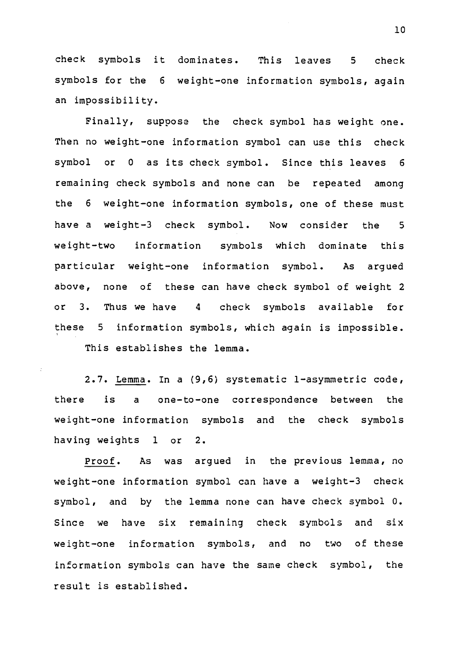check symbols it dominates. This leaves <sup>5</sup> check symbols for the <sup>6</sup> weight-one information symbols, again an impossibility.

Finally, suppose the check symbol has weight one. Then no weight-one information symbol can use this check symbol or <sup>0</sup> as its check symbol. Since this leaves <sup>6</sup> remaining check symbols and none can be repeated among the <sup>6</sup> weight-one information symbols, one of these must have a weight-3 check symbol. Now consider the <sup>5</sup> weight-two information symbols which dominate this particular weight-one information symbol. As argued above, none of these can have check symbol of weight 2 or 3. Thus we have 4 check symbols available for these <sup>5</sup> information symbols, which again is impossible. This establishes the lemma.

2.7. Lemma. In a (9,6) systematic 1-asymmetric code, there is a one-to-one correspondence between the weight-one information symbols and the check symbols having weights <sup>1</sup> or 2.

Proof. As was argued in the previous lemma, no weight-one information symbol can have a weight-3 check symbol, and by the lemma none can have check symbol 0. Since we have six remaining check symbols and six weight-one information symbols, and no two of these information symbols can have the same check symbol, the result is established.

10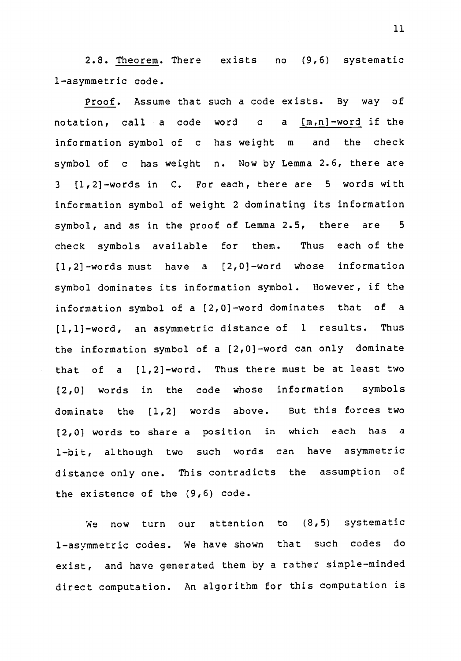2.8. Theorem. There exists no (9,6) systematic 1-asymmetric code.

Proof. Assume that such a code exists. By way of notation, call a code word c a  $[m,n]$ -word if the information symbol of c has weight m and the check symbol of c has weight n. Now by Lemma 2.6, there are <sup>3</sup> [1,21-words in C. For each, there are <sup>5</sup> words with information symbol of weight 2 dominating its information symbol, and as in the proof of Lemma 2.5, there are <sup>5</sup> check symbols available for them. Thus each of the [1,21-words must have <sup>a</sup> [2,01-word whose information symbol dominates its information symbol. However, if the information symbol of a [2,0] -word dominates that of a [1,11-word, an asymmetric distance of <sup>1</sup> results. Thus the information symbol of a [2,01-word can only dominate that of <sup>a</sup> [1,21-word. Thus there must be at least two [2,0] words in the code whose information symbols dominate the [1,2] words above. But this forces two (2,0] words to share a position in which each has a 1-bit, although two such words can have asymmetric distance only one. This contradicts the assumption of the existence of the (9,6) code.

We now turn our attention to (8,5) systematic 1-asymmetric codes. We have shown that such codes do exist, and have generated them by a rather simple-minded direct computation. An algorithm for this computation is

11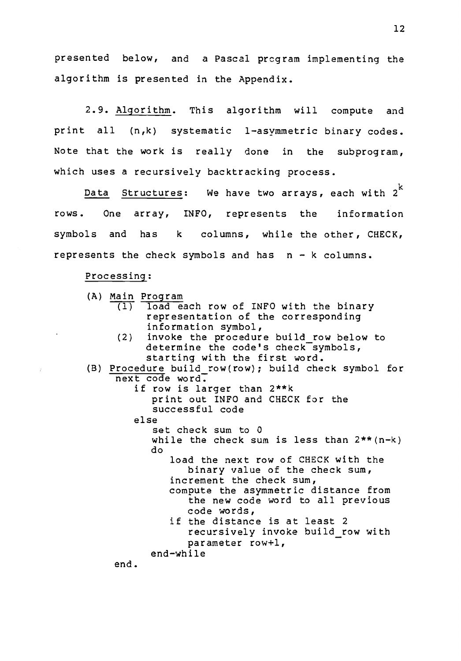presented below, and a Pascal program implementing the algorithm is presented in the Appendix.

2.9. Algorithm. This algorithm will compute and print all (n,k) systematic 1-asymmetric binary codes. Note that the work is really done in the subprogram, which uses a recursively backtracking process.

Data Structures: We have two arrays, each with  $2<sup>k</sup>$ rows. One array, INFO, represents the information symbols and has k columns, while the other, CHECK, represents the check symbols and has n - k columns.

#### Processing:

(A) Main Program (1) load each row of INFO with the binary representation of the corresponding information symbol, (2) invoke the procedure build row below to determine the code's check symbols, starting with the first word. (B) Procedure build row(row); build check symbol for next code word. if row is larger than 2\*\*k print out INFO and CHECK for the successful code else set check sum to 0 while the check sum is less than  $2**$  (n-k) do load the next row of CHECK with the binary value of the check sum, increment the check sum, compute the asymmetric distance from the new code word to all previous code words, if the distance is at least 2 recursively invoke build\_row with parameter row+1, end-while end.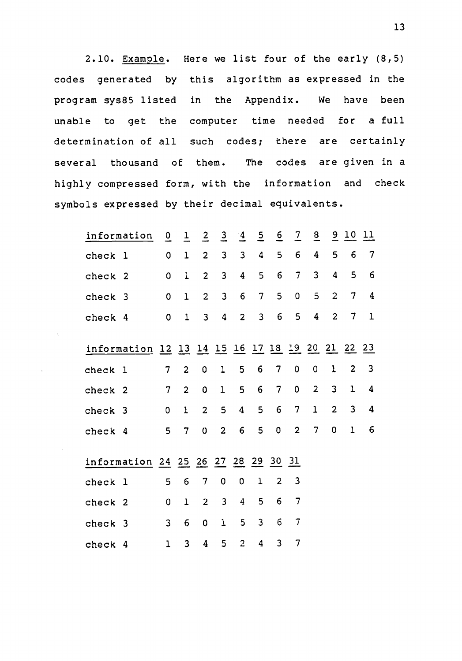2.10. Example. Here we list four of the early (8,5) codes generated by this algorithm as expressed in the program sys85 listed in the Appendix. We have been unable to get the computer time needed for a full determination of all such codes; there are certainly several thousand of them. The codes are given in a highly compressed form, with the information and check symbols expressed by their decimal equivalents.

|         | information                                     | $\overline{0}$  | $\overline{1}$          | $\overline{2}$          | $\frac{3}{2}$           | $\frac{4}{5}$           | $\overline{2}$ | $\overline{6}$ | $\overline{2}$ | $\overline{a}$ |                | $\frac{9}{2}$ 10 11 |             |
|---------|-------------------------------------------------|-----------------|-------------------------|-------------------------|-------------------------|-------------------------|----------------|----------------|----------------|----------------|----------------|---------------------|-------------|
| check 1 |                                                 | 0               | $\mathbf 1$             | $\overline{2}$          | $\mathbf{3}$            | 3                       | 4              | 5              | 6              | 4              | 5              | 6                   | 7           |
| check 2 |                                                 | 0               | $\mathbf{1}$            | $\overline{2}$          | $\overline{\mathbf{3}}$ | 4                       | 5              | 6              | 7              | 3              | 4              | 5                   | 6           |
| check 3 |                                                 | 0               | $\mathbf 1$             | $\overline{c}$          | 3                       | 6                       | $\overline{7}$ | 5              | 0              | 5              | $\overline{2}$ | 7                   | 4           |
| check 4 |                                                 | 0               | $\mathbf{1}$            | $\overline{\mathbf{3}}$ | 4                       | $\overline{2}$          | 3              | 6              | 5              | 4              | $\overline{2}$ | 7                   | $\mathbf 1$ |
|         | information 12 13 14 15 16 17 18 19 20 21 22 23 |                 |                         |                         |                         |                         |                |                |                |                |                |                     |             |
|         |                                                 |                 |                         |                         |                         |                         |                |                |                |                |                |                     |             |
| check 1 |                                                 | $7\overline{ }$ | $\overline{2}$          | 0                       | $\mathbf 1$             | 5                       | 6              | 7              | 0              | 0              | $\mathbf 1$    | $\overline{c}$      | 3           |
| check 2 |                                                 | $7\phantom{.}$  | $\overline{2}$          | 0                       | ı                       | 5                       | 6              | 7              | 0              | $\overline{2}$ | 3              | 1                   | 4           |
| check 3 |                                                 | 0               | $\mathbf{1}$            | $\overline{c}$          | 5                       | $\overline{\mathbf{4}}$ | 5              | 6              | 7              | $\mathbf 1$    | $\overline{2}$ | $\overline{3}$      | 4           |
| check 4 |                                                 | 5               | $\overline{7}$          | $\overline{0}$          | $\overline{2}$          | 6                       | 5              | 0              | $\overline{c}$ | 7              | 0              | $\mathbf{1}$        | 6           |
|         |                                                 |                 |                         |                         |                         |                         |                |                |                |                |                |                     |             |
|         | information 24 25 26 27 28 29 30 31             |                 |                         |                         |                         |                         |                |                |                |                |                |                     |             |
| check 1 |                                                 | 5               | 6                       | 7                       | 0                       | 0                       | 1              | $\overline{2}$ | 3              |                |                |                     |             |
| check 2 |                                                 | 0               | $\mathbf 1$             | $\overline{2}$          | $\mathbf{3}$            | 4                       | 5              | 6              | 7              |                |                |                     |             |
| check 3 |                                                 | 3               | 6                       | 0                       | Ĩ.                      | 5                       | 3              | 6              | 7              |                |                |                     |             |
| check 4 |                                                 | ı               | $\overline{\mathbf{3}}$ | 4                       | 5                       | $\overline{2}$          | 4              | 3              | 7              |                |                |                     |             |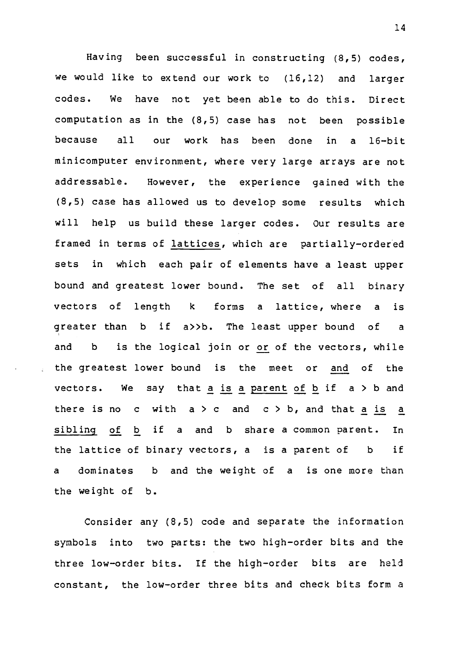Having been successful in constructing (8,5) codes, we would like to extend our work to (16,12) and larger codes. We have not yet been able to do this. Direct computation as in the (8,5) case has not been possible because all our work has been done in a 16-bit minicomputer environment, where very large arrays are not addressable. However, the experience gained with the (8,5) case has allowed us to develop some results which will help us build these larger codes. Our results are framed in terms of lattices, which are partially-ordered sets in which each pair of elements have a least upper bound and greatest lower bound. The set of all binary vectors of length k forms a lattice, where a is greater than b if a>>b. The least upper bound of a and b is the logical join or or of the vectors, while the greatest lower bound is the meet or and of the vectors. We say that a is a parent of b if  $a > b$  and there is no c with  $a > c$  and  $c > b$ , and that a is a sibling of b if a and b share a common parent. In the lattice of binary vectors, a is a parent of b if a dominates b and the weight of a is one more than the weight of b.

Consider any (8,5) code and separate the information symbols into two parts: the two high-order bits and the three low-order bits. If the high-order bits are held constant, the low-order three bits and check bits form a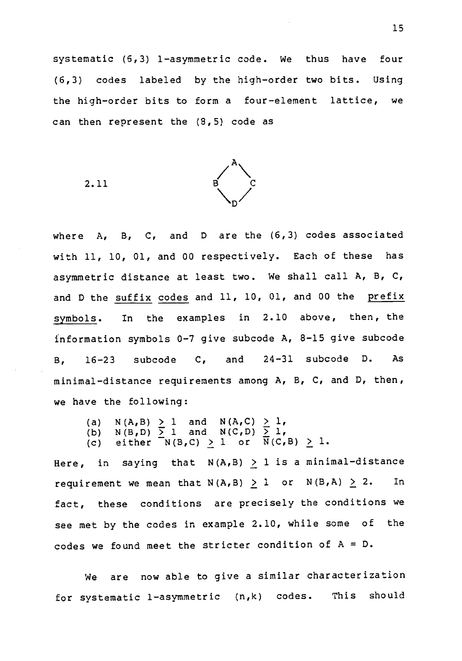systematic (5,3) 1-asymmetric code. We thus have four (6,3) codes labeled by the high-order two bits. Using the high-order bits to form a four-element lattice, we can then represent the (8,5) code as

2.11



where A, B, C, and D are the (6,3) codes associated with 11, 10, 01, and 00 respectively. Each of these has asymmetric distance at least two. We shall call A, B, C, and D the suffix codes and 11, 10, 01, and 00 the prefix symbols. In the examples in 2.10 above, then, the information symbols 0-7 give subcode A, 8-15 give subcode B, 16-23 subcode C, and 24-31 subcode D. As minimal-distance requirements among A, B, C, and D, then, we have the following:

- (a)  $N(A,B) \geq 1$  and  $N(A,C) \geq 1$ , (b) N(B,D)  $\geq 1$  and N(C,D)  $\geq 1$ ,
- (c) either  $N(B,C) \geq 1$  or  $N(C,B) \geq 1$ .

Here, in saying that  $N(A, B) \ge 1$  is a minimal-distance requirement we mean that  $N(A, B) \geq 1$  or  $N(B, A) \geq 2$ . In fact, these conditions are precisely the conditions we see met by the codes in example 2.10, while some of the codes we found meet the stricter condition of  $A = D$ .

We are now able to give a similar characterization for systematic 1-asymmetric (n,k) codes. This should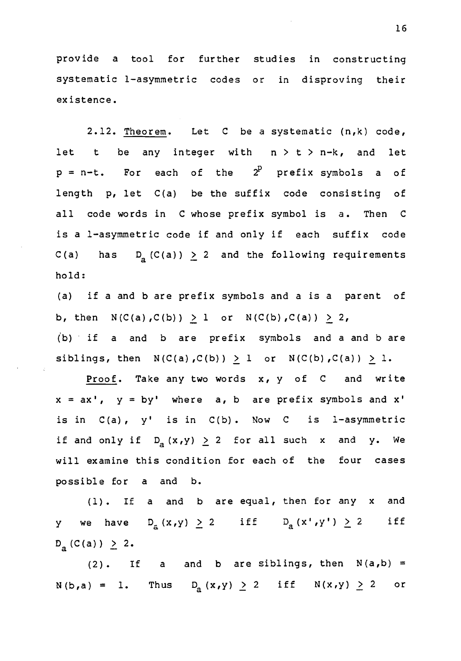provide <sup>a</sup> tool for further studies in constructing systematic 1-asymmetric codes or in disproving their existence.

2.12. Theorem. Let C be a systematic (n,k) code, let t be any integer with  $n > t > n-k$ , and let  $p = n-t$ . For each of the  $2^p$  prefix symbols a of length p, let C(a) be the suffix code consisting of all code words in C whose prefix symbol is a. Then C is a 1-asymmetric code if and only if each suffix code C(a) has  $D_a(C(a)) \ge 2$  and the following requirements hold:

(a) if a and b are prefix symbols and a is a parent of b, then  $N(C(a), C(b)) > 1$  or  $N(C(b), C(a)) \ge 2$ , (b) if a and b are prefix symbols and a and b are siblings, then  $N(C(a), C(b)) > 1$  or  $N(C(b), C(a)) > 1$ .

Proof. Take any two words x, y of C and write  $x = ax'$ ,  $y = by'$  where  $a$ , b are prefix symbols and  $x'$ is in  $C(a)$ ,  $y'$  is in  $C(b)$ . Now C is 1-asymmetric if and only if  $D_{a}(x,y) \geq 2$  for all such x and y. We will examine this condition for each of the four cases possible for a and b.

(1). If a and b are equal, then for any x and y we have  $D_{a}^{-}(x,y) \geq 2$  iff  $D_{a}^{-}(x^{+},y^{+}) \geq 2$  iff  $D_{a} (C(a)) \geq 2.$ 

(2). If a and b are siblings, then  $N(a,b)$  =  $N(b,a) = 1$ . Thus  $D_a(x,y) \ge 2$  iff  $N(x,y) \ge 2$  or

16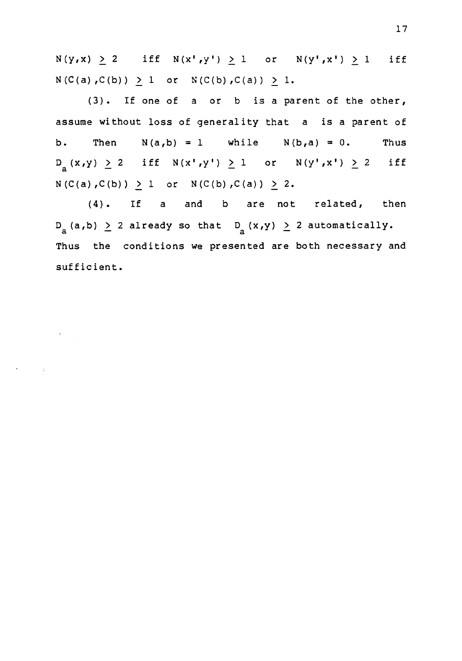$N(y,x) \geq 2$  iff  $N(x',y') \geq 1$  or  $N(y',x') \geq 1$  iff  $N(C(a), C(b)) \geq 1$  or  $N(C(b), C(a)) \geq 1$ .

(3). If one of a or b is a parent of the other, assume without loss of generality that a is a parent of b. Then  $N(a,b) = 1$  while  $N(b,a) = 0$ . Thus  $D_{a}(x,y) \ge 2$  iff  $N(x',y') \ge 1$  or  $N(y',x') \ge 2$  iff  $N(C(a),C(b)) \geq 1$  or  $N(C(b),C(a)) \geq 2$ .

(4). If a and b are not related, then  $D_{a}$ (a,b)  $\geq$  2 already so that  $D_{a}$ (x,y)  $\geq$  2 automatically. Thus the conditions we presented are both necessary and sufficient.

 $\sigma_{\rm{max}}=0.2$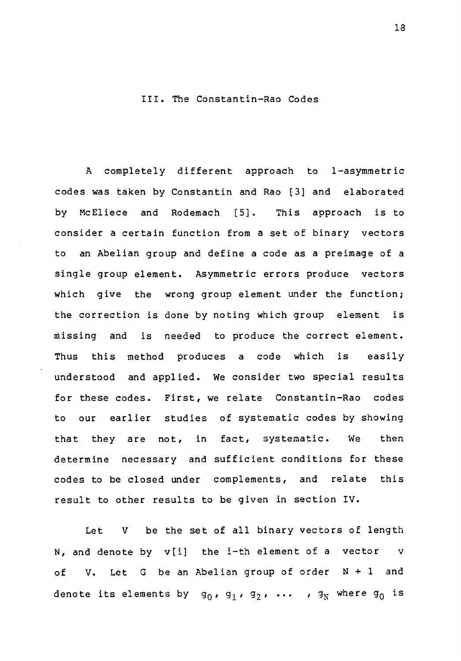#### III. The Constantin-Rao Codes

A completely different approach to 1-asymmetric codes was taken by Constantin and Rao [3] and elaborated by McEliece and Rodemach [5]. This approach is to consider a certain function from a set of binary vectors to an Abelian group and define a code as a preimage of a single group element. Asymmetric errors produce vectors which give the wrong group element under the function; the correction is done by noting which group element is Missing and is needed to produce the correct element. Thus this method produces a code which is easily understood and applied. We consider two special results for these codes. First, we relate Constantin-Rao codes to our earlier studies of systematic codes by showing that they are not, in fact, systematic. We then determine necessary and sufficient conditions for these codes to be closed under complements, and relate this result to other results to be given in section IV.

Let V be the set of all binary vectors of length N, and denote by v[i] the i-th element of a vector v of V. Let G be an Abelian group of order N + 1 and denote its elements by  $g_0$ ,  $g_1$ ,  $g_2$ , ...,  $g_N$  where  $g_0$  is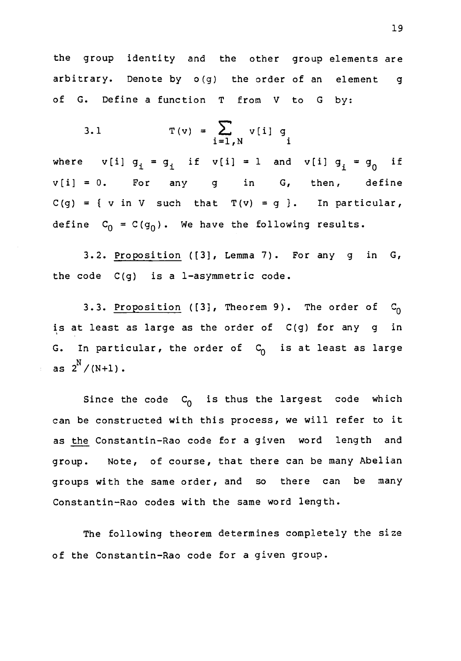the group identity and the other group elements are arbitrary. Denote by o(g) the order of an element g of G. Define a function T from V to G by:

3.1 
$$
T(v) = \sum_{i=1, N} v[i] g_i
$$

where  $v[i] g_i = g_i$  if  $v[i] = 1$  and  $v[i] g_i = g_0$  if  $v[i] = 0$ . For any g in G, then, define  $C(g) = \{ v \text{ in } V \text{ such that } T(v) = g \}.$  In particular, define  $C_0 = C(g_0)$ . We have the following results.

3.2. Proposition ([3], Lemma 7). For any g in G, the code C(g) is a 1-asymmetric code.

3.3. Proposition ([3], Theorem 9). The order of  $C_0$ is at least as large as the order of C(g) for any g in G. In particular, the order of  $C_0$  is at least as large as  $2^{N} / (N+1)$ .

Since the code  $\, {\sf c}_{\overline{0}} \,$  is thus the largest code which can be constructed with this process, we will refer to it as the Constantin-Rao code for a given word length and group. Note, of course, that there can be many Abelian groups with the same order, and so there can be many Constantin-Rao codes with the same word length.

The following theorem determines completely the size of the Constantin-Rao code for a given group.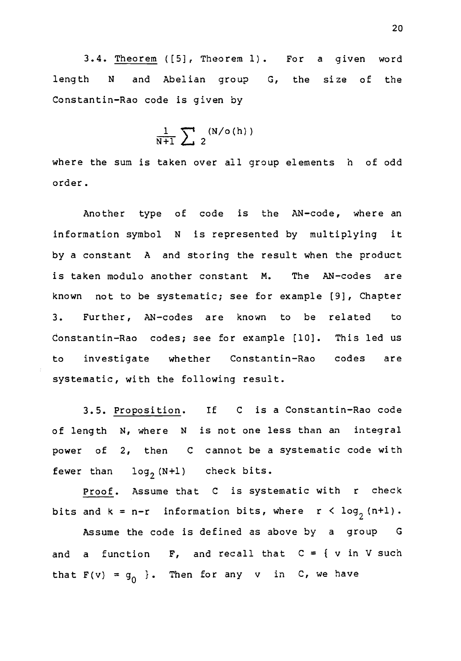3.4. Theorem ([5], Theorem 1). For a given word length N and Abelian group G, the size of the Constantin-Rao code is given by

$$
\frac{1}{N+1}\sum_{i=1}^{N} (N/\sigma(h))
$$

where the sum is taken over all group elements h of odd order.

Another type of code is the AN-code, where an information symbol N is represented by multiplying it by a constant A and storing the result when the product is taken modulo another constant M. The AN-codes are known not to be systematic; see for example [9], Chapter 3. Further, AN-codes are known to be related to Constantin-Rao codes; see for example [10]. This led us to investigate whether Constantin-Rao codes are systematic, with the following result.

3.5. Proposition. If C is a Constantin-Rao code of length N, where N is not one less than an integral power of 2, then C cannot be a systematic code with fewer than  $log_2(N+1)$  check bits.

Proof. Assume that C is systematic with <sup>r</sup> check bits and  $k = n-r$  information bits, where  $r < log_2(n+1)$ . Assume the code is defined as above by a group G and a function  $F$ , and recall that  $C = \{ v \text{ in } V \text{ such }$ that  $F(v) = g_0$  }. Then for any v in C, we have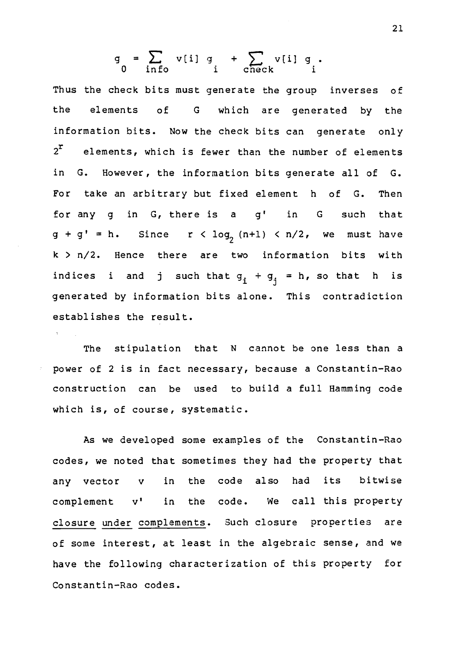$$
g = \sum_{\text{info}} v[i] g + \sum_{\text{check}} v[i] g.
$$

Thus the check bits must generate the group inverses of the elements of G which are generated by the information bits. Now the check bits can generate only  $2<sup>r</sup>$  elements, which is fewer than the number of elements in G. However, the information bits generate all of G. For take an arbitrary but fixed element h of G. Then for any g in G, there is a g' in G such that  $g + g' = h$ . Since  $r < log_2 (n+1) < n/2$ , we must have k > n/2. Hence there are two information bits with indices i and j such that  $g_i + g_j = h$ , so that h is generated by information bits alone. This contradiction establishes the result.

The stipulation that N cannot be one less than a power of 2 is in fact necessary, because a Constantin-Rao construction can be used to build a full Hamming code which is, of course, systematic.

As we developed some examples of the Constantin-Rao codes, we noted that sometimes they had the property that any vector v in the code also had its bitwise complement v' in the code. We call this property closure under complements. Such closure properties are of some interest, at least in the algebraic sense, and we have the following characterization of this property for Constantin-Rao codes.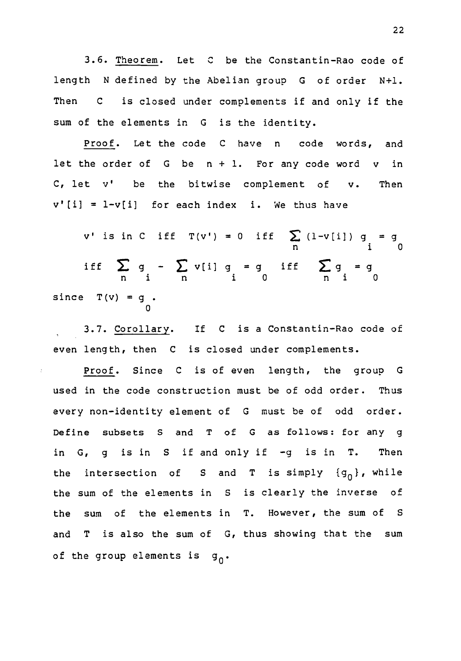3.6. Theorem. Let C be the Constantin-Rao code of length N defined by the Abelian group G of order N+1. Then C is closed under complements if and only if the sum of the elements in G is the identity.

Proof. Let the code C have n code words, and let the order of  $G$  be  $n + 1$ . For any code word  $v$  in C, let v' be the bitwise complement of v. Then  $v'[i] = 1-v[i]$  for each index i. We thus have

v' is in C iff T(v') = 0 iff  $\sum (1-v[i])$  g = g n <sup>i</sup> 0 iff  $\sum g - \sum v[i] g = g$  iff  $\sum g = g$ n <sup>i</sup> n <sup>i</sup> 0 n <sup>i</sup> 0 since  $T(v) = g$ . 0

3.7. Corollary. If C is a Constantin-Rao code of even length, then C is closed under complements.

þ

Proof. Since C is of even length, the group G used in the code construction must be of odd order. Thus every non-identity element of G must be of odd order. Define subsets S and T of G as follows: for any g in G, g is in S if and only if -g is in T. Then the intersection of S and T is simply  $\{g_{0}\}\right$ , while the sum of the elements in <sup>S</sup> is clearly the inverse of the sum of the elements in T. However, the sum of S and T is also the sum of G, thus showing that the sum of the group elements is  $g_0$ .

22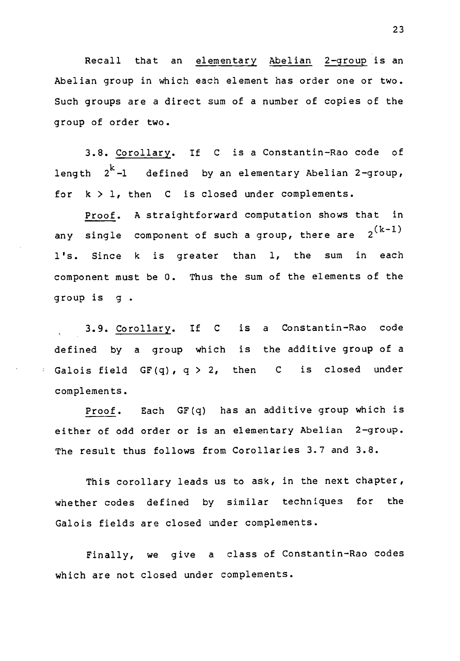Recall that an elementary Abelian 2-group is an Abelian group in which each element has order one or two. Such groups are a direct sum of a number of copies of the group of order two.

3.8. Corollary. If C is a Constantin-Rao code of length  $2^{\mathbf{k}}$ -l defined by an elementary Abelian 2-group, for  $k > 1$ , then  $C$  is closed under complements.

Proof. A straightforward computation shows that in any single component of such a group, there are  $2^{(k-1)}$ l's. Since <sup>k</sup> is greater than 1, the sum in each component must be 0. Thus the sum of the elements of the group is g .

3.9. Corollary. If C is <sup>a</sup> Constantin-Rao code defined by a group which is the additive group of a Galois field  $GF(q)$ ,  $q > 2$ , then C is closed under complements.

Proof. Each GF(q) has an additive group which is either of odd order or is an elementary Abelian 2-group. The result thus follows from Corollaries 3.7 and 3.8.

This corollary leads us to ask, in the next chapter, whether codes defined by similar techniques for the Galois fields are closed under complements.

Finally, we give <sup>a</sup> class of Constantin-Rao codes which are not closed under complements.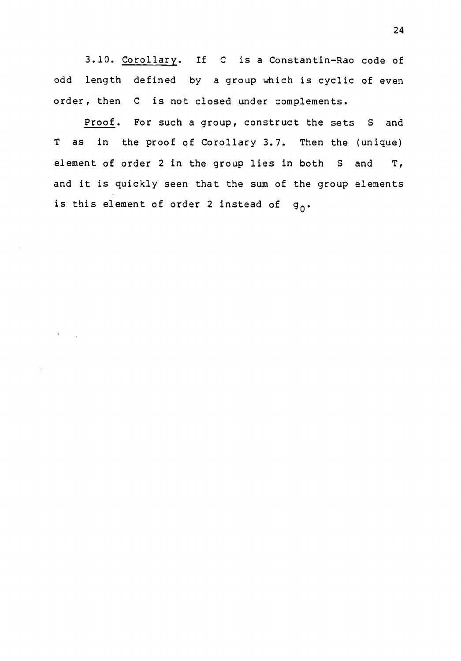3.10. Corollary. If C is a Constantin-Rao code of odd length defined by a group which is cyclic of even order, then C is not closed under complements.

Proof. For such a group, construct the sets S and T as in the proof of Corollary 3.7. Then the (unique) element of order 2 in the group lies in both S and T, and it is quickly seen that the sum of the group elements is this element of order 2 instead of  $g_0$ .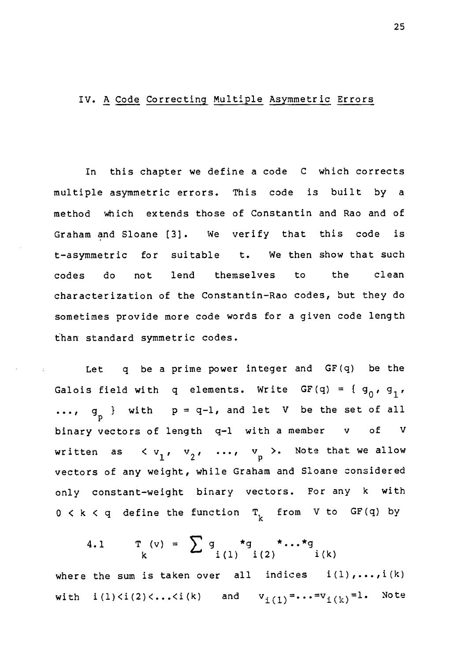#### IV. A Code Correcting Multiple Asymmetric Errors

In this chapter we define a code C which corrects multiple asymmetric errors. This code is built by a method which extends those of Constantin and Rao and of Graham and Sloane [3]. We verify that this code is t-asymmetric for suitable t. We then show that such codes do not lend themselves to the clean characterization of the Constantin-Rao codes, but they do sometimes provide more code words for a given code length than standard symmetric codes.

Let q be a prime power integer and GF(q) be the Galois field with q elements. Write GF(q) = {  $g_0$ ,  $g_1$ ,  $\ldots$ ,  $g_{\text{p}}$  } with  $p = q-1$ , and let V be the set of all binary vectors of length q-1 with a member v of V written as  $\langle v_1, v_2, \ldots, v_n \rangle$ . Note that we allow vectors of any weight, while Graham and Sloane considered only constant-weight binary vectors. For any <sup>k</sup> with  $0 < k < q$  define the function  $T_k$  from V to GF(q) by

4.1 
$$
T(v) = \sum g \atop i (1) i (2) i (k)
$$

where the sum is taken over all indices  $i(1)$ ,..., $i(k)$ with  $i(l) < i(2) < ... < i(k)$  and  $v_{i(l)} = ... = v_{i(k)} = l$ . Note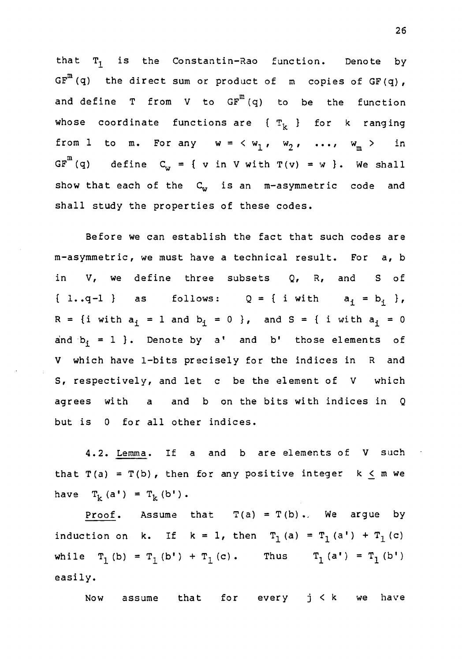that  $T_1$  is the Constantin-Rao function. Denote by  $GF^{m}(q)$  the direct sum or product of m copies of  $GF(q)$ , and define  $T$  from  $V$  to  $GF^{m}(q)$  to be the function whose coordinate functions are  $\{\mathcal{T}_k\}$  for k ranging from 1 to m. For any  $w = \langle w_1, w_2, \ldots, w_m \rangle$  in GF $^{\rm m}$  (q) define  ${\rm C}_{_{\cal W}}$  = { v in V with T(v) = w }. We shall show that each of the  $C_w$  is an m-asymmetric code and shall study the properties of these codes.

Before we can establish the fact that such codes are m-asymmetric, we must have a technical result. For a, b in V, we define three subsets Q, R, and S of { 1..q-1 } as follows:  $Q = \{ i \text{ with } a_i = b_i \}$ ,  $R = \{i \text{ with } a_i = 1 \text{ and } b_i = 0 \}$ , and  $S = \{ i \text{ with } a_i = 0 \}$ and  $b_i = 1$  }. Denote by a' and b' those elements of V which have 1-bits precisely for the indices in R and S, respectively, and let c be the element of V which agrees with a and b on the bits with indices in Q but is 0 for all other indices.

4.2. Lemma. If a and b are elements of V such that  $T(a) = T(b)$ , then for any positive integer  $k \le m$  we have  $T_k(a') = T_k(b')$ .

Proof. Assume that  $T(a) = T(b)$ . We argue by induction on k. If  $k = 1$ , then  $T_1(a) = T_1(a') + T_1(c)$ while  $T_1(b) = T_1(b') + T_1(c)$ . Thus  $T_1(a') = T_1(b')$ easily.

Now assume that for every <sup>j</sup> < k we have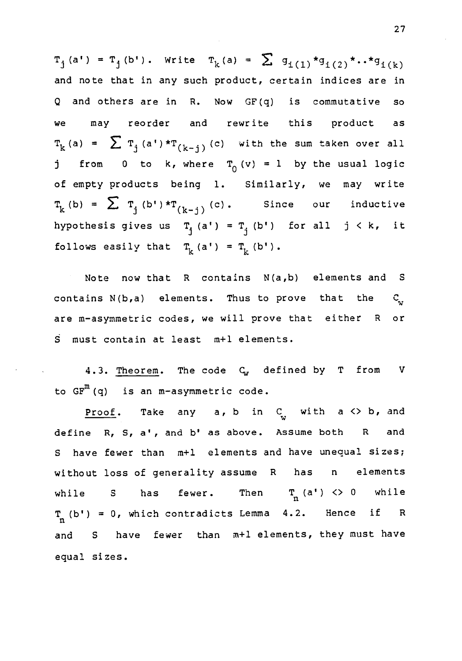$T_i (a') = T_i (b')$ . Write  $T_k (a) = \sum_{i=1}^{n} q_{i(1)} * g_{i(2)} * ... * g_{i(k)}$ and note that in any such product, certain indices are in Q and others are in R. Now GF(q) is commutative so we may reorder and rewrite this product as  $T_{k}$  (a) =  $\sum_{j} T_{j}$  (a')\* $T_{(k-j)}$  (c) with the sum taken over all j from 0 to k, where  $T_0(v) = 1$  by the usual logic of empty products being 1. Similarly, we may write  $T_k(b) = \sum_{i=1}^{n} T_i(b') \star T_{(k-i)}(c)$ . Since our inductive hypothesis gives us  $T_j$  (a') =  $T_j$  (b') for all j < k, it follows easily that  $T_k(a') = T_k(b')$ .

Note now that R contains N(a,b) elements and S contains  $N(b,a)$  elements. Thus to prove that the  $C_{n}$ are m-asymmetric codes, we will prove that either R or S must contain at least m+1 elements.

4.3. Theorem. The code  $C_w$  defined by T from V to  $GF^{m}(q)$  is an m-asymmetric code.

Proof. Take any a, b in  $C_{\alpha}$  with a <> b, and define R, S, a', and b' as above. Assume both R and <sup>S</sup> have fewer than m+1 elements and have unequal sizes; without loss of generality assume R has n elements while S has fewer. Then  $T_n$  (a') <> 0 while  $T_n(b') = 0$ , which contradicts Lemma 4.2. Hence if R and <sup>S</sup> have fewer than m+1 elements, they must have equal sizes.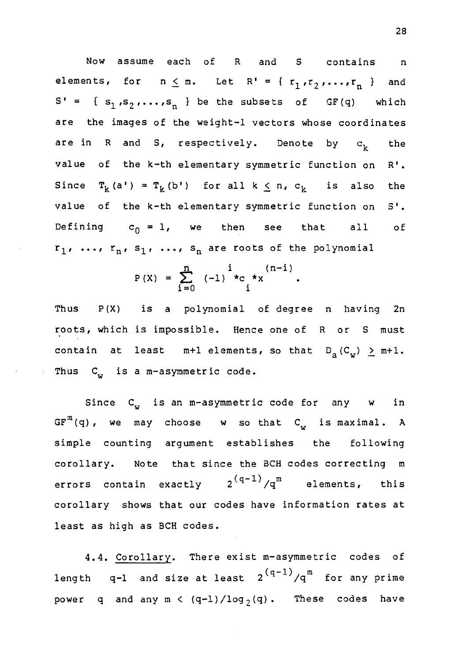Now assume each of R and S contains n elements, for  $n \leq m$ . Let  $R' = \{r_1, r_2, ..., r_n\}$  and  $S' = \{ s_1, s_2, \ldots, s_n \}$  be the subsets of GF(q) which are the images of the weight-1 vectors whose coordinates are in R and S, respectively. Denote by  $c_k$  the value of the k-th elementary symmetric function on R'. Since  $T_k(a') = T_k(b')$  for all  $k \le n$ ,  $c_k$  is also the value of the k-th elementary symmetric function on S'. Defining  $c_0 = 1$ , we then see that all of  $r_1$ , ...,  $r_n$ ,  $s_1$ , ...,  $s_n$  are roots of the polynomial

$$
P(X) = \sum_{i=0}^{n} (-1)^{i} C_i * x
$$
 (n-i)

Thus P(X) is a polynomial of degree n having 2n roots, which is impossible. Hence one of R or S must contain at least  $m+1$  elements, so that  $D_a(C_w) \geq m+1$ . Thus  $C_{\alpha}$  is a m-asymmetric code.

Since C<sub>w</sub> is an m-asymmetric code for any w in  $GF^{m}(q)$ , we may choose w so that  $C_{w}$  is maximal. A simple counting argument establishes the following corollary. Note that since the BCH codes correcting m errors contain exactly  $2^{\left( q-1\right)}/q^{\mathfrak{m}}$  elements, this corollary shows that our codes have information rates at least as high as BCH codes.

4.4. Corollary. There exist m-asymmetric codes of length  $\,$  q-1  $\,$  and size at least  $\,2\,^{(q-1)}/q^{\mathrm{m}}\,$  for any prime  $\,$ power q and any  $m < (q-1)/log_2(q)$ . These codes have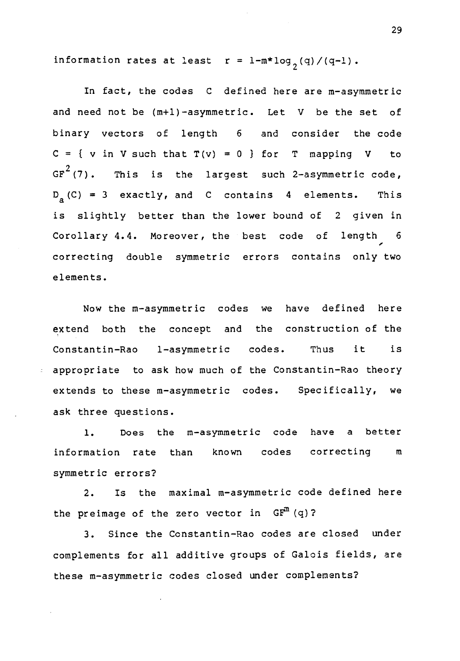information rates at least  $r = 1-m*log_{2}(q)/(q-1)$ .

In fact, the codes C defined here are m-asymmetric and need not be (m+1)-asymmetric. Let V be the set of binary vectors of length <sup>6</sup> and consider the code  $C = \{ v \text{ in } V \text{ such that } T(v) = 0 \}$  for T mapping V to GF $^{2}$ (7). This is the largest such 2-asymmetric code, D <sup>a</sup> (C) = 3 exactly, and <sup>C</sup> contains <sup>4</sup> elements. This is slightly better than the lower bound of 2 given in Corollary 4.4. Moreover, the best code of length 6 I correcting double symmetric errors contains only two elements.

Now the m-asymmetric codes we have defined here extend both the concept and the construction of the Constantin-Rao 1-asymmetric codes. Thus it is appropriate to ask how much of the Constantin-Rao theory extends to these m-asymmetric codes. Specifically, we ask three questions.

1. Does the m-asymmetric code have a better information rate than known codes correcting symmetric errors?

2. Is the maximal m-asymmetric code defined here the preimage of the zero vector in  $GF<sup>m</sup>(q)$ ?

3. Since the Constantin-Rao codes are closed under complements for all additive groups of Galois fields, are these m-asymmetric codes closed under complements?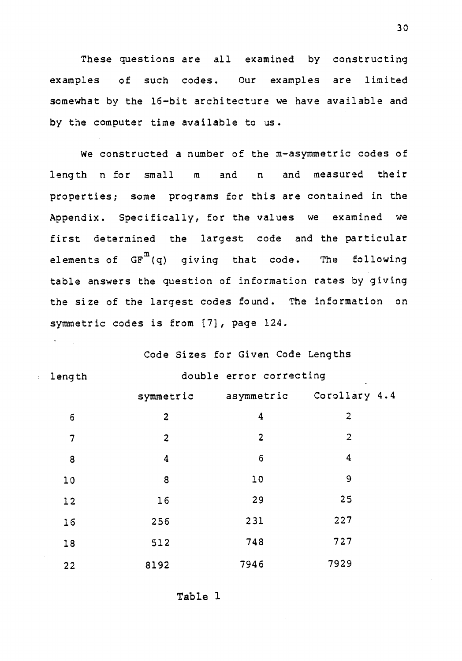These questions are all examined by constructing examples of such codes. Our examples are limited somewhat by the 16-bit architecture we have available and by the computer time available to us.

We constructed a number of the m-asymmetric codes of length n for small m and n and measured their properties; some programs for this are contained in the Appendix. Specifically, for the values we examined we first determined the largest code and the particular elements of  $\texttt{GF}^{\texttt{m}}(\texttt{q})$  giving that code. The following table answers the question of information rates by giving the size of the largest codes found. The information on symmetric codes is from [7], page 124.

Code Sizes for Given Code Lengths

|                |                | Code Sizes for Given Code Lengths |                                    |  |
|----------------|----------------|-----------------------------------|------------------------------------|--|
| length         |                | double error correcting           |                                    |  |
|                |                |                                   | symmetric asymmetric Corollary 4.4 |  |
| $\mathbf 6$    | $\overline{c}$ | $\overline{\mathbf{4}}$           | $\overline{c}$                     |  |
| $\overline{7}$ | $\overline{2}$ | $\overline{2}$                    | $\overline{2}$                     |  |
| 8              | 4              | $\mathbf 6$                       | $\overline{\mathbf{4}}$            |  |
| 10             | 8              | 10                                | 9                                  |  |
| 12             | 16             | 29                                | 25                                 |  |
| 16             | 256            | 231                               | 227                                |  |
| 18             | 512            | 748                               | 727                                |  |
| 22             | 8192           | 7946                              | 7929                               |  |

Table 1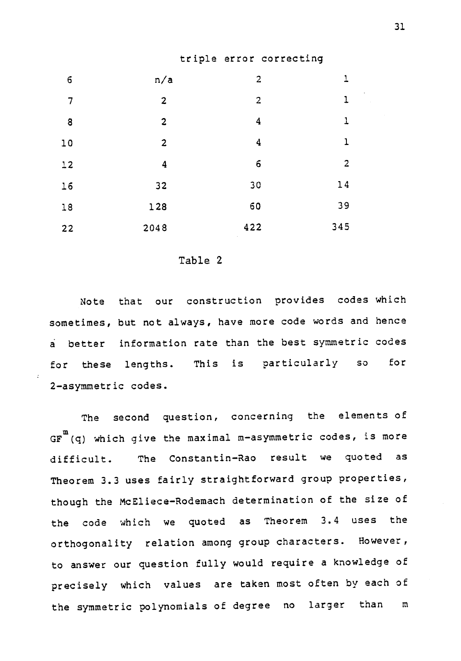#### triple error correcting

| $\epsilon$     | n/a            | $\overline{2}$   | 1                       |  |
|----------------|----------------|------------------|-------------------------|--|
| $\overline{7}$ | $\overline{2}$ | $\overline{a}$   | $\mathbf{1}$            |  |
| 8              | $\overline{c}$ | $\boldsymbol{4}$ | 1                       |  |
| 10             | $\overline{2}$ | $\boldsymbol{4}$ | $\mathbf{1}$            |  |
| $12$           | 4              | $\epsilon$       | $\overline{\mathbf{c}}$ |  |
| 16             | 32             | 30               | 14                      |  |
| 18             | 128            | 60               | 39                      |  |
| 22             | 2048           | 422              | 345                     |  |

#### Table 2

Note that our construction provides codes which sometimes, but not always, have more code words and hence a better information rate than the best symmetric codes for these lengths. This is particularly so for 2-asymmetric codes.

The second question, concerning the elements of GF  $^{\rm m}$  (q) which give the maximal m-asymmetric codes, is more difficult. The Constantin-Rao result we quoted as Theorem 3.3 uses fairly straightforward group properties, though the McEliece-Rodemach determination of the size of the code which we quoted as Theorem 3.4 uses the orthogonality relation among group characters. However, to answer our question fully would require a knowledge of precisely which values are taken most often by each of the symmetric polynomials of degree no larger than m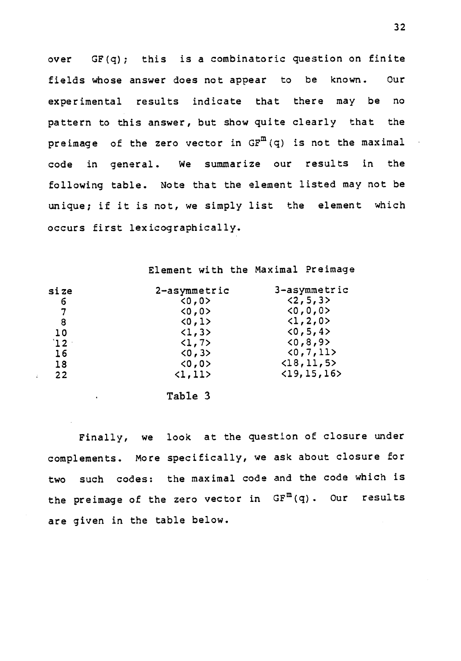over GF(q); this is a combinatoric question on finite fields whose answer does not appear to be known. Our experimental results indicate that there may be no pattern to this answer, but show quite clearly that the preimage of the zero vector in  $GF^{m}(q)$  is not the maximal code in general. We summarize our results in the following table. Note that the element listed may not be unique; if it is not, we simply list the element which occurs first lexicographically.

Element with the Maximal Preimage

| size            | 2-asymmetric            | 3-asymmetric                 |  |
|-----------------|-------------------------|------------------------------|--|
| 6               | 0,0>                    | <2, 5, 3>                    |  |
| 7               | 0,0>                    | 0, 0, 0                      |  |
| 8               | <0,1>                   | $\langle 1, 2, 0 \rangle$    |  |
| 10              | $\langle 1, 3 \rangle$  | <0, 5, 4>                    |  |
| 12 <sup>1</sup> | $\langle 1, 7 \rangle$  | <0, 8, 9>                    |  |
| 16              | < 0, 3 > 0              | (0, 7, 11)                   |  |
| 18              | 0,0>                    | $\langle 18, 11, 5 \rangle$  |  |
| 22              | $\langle 1, 11 \rangle$ | $\langle 19, 15, 16 \rangle$ |  |

Table 3

Finally, we look at the question of closure under complements. More specifically, we ask about closure for two such codes: the maximal code and the code which is the preimage of the zero vector in  $GF^{m}(q)$ . Our results are given in the table below.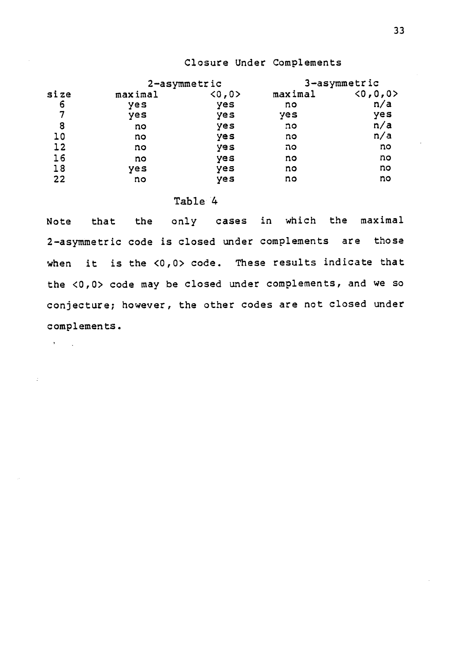#### Closure Under Complements

|      |         | 2-asymmetric | 3-asymmetric |               |  |
|------|---------|--------------|--------------|---------------|--|
| size | maximal | 0,0          | maximal      | < 0, 0, 0 > 0 |  |
| 6    | yes     | yes          | no           | n/a           |  |
| 7    | yes     | yes          | yes          | yes           |  |
| 8    | no      | yes          | no           | n/a           |  |
| 10   | no      | yes          | no           | n/a           |  |
| 12   | no      | yes          | סה           | no            |  |
| 16   | no      | yes          | no           | no            |  |
| 18   | yes     | yes          | no           | no            |  |
| 22   | no      | yes          | no           | no            |  |

#### Table 4

 $\delta_{\rm{max}}$ 

Note that the only cases in which the maximal 2-asymmetric code is closed under complements are those when it is the <0,0> code. These results indicate that the <0,0> code may be closed under complements, and we so conjecture; however, the other codes are not closed under complements.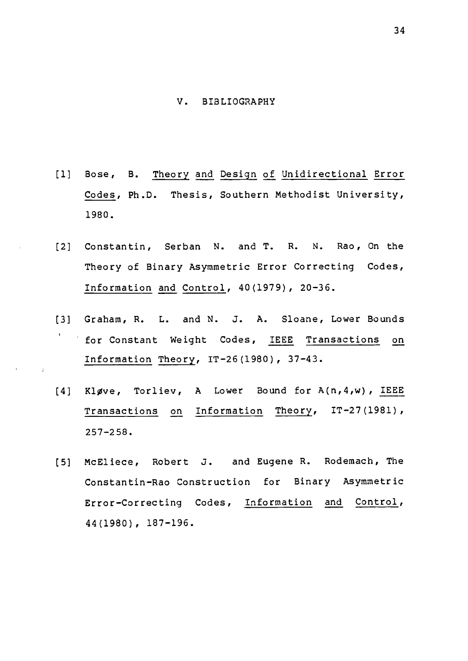#### V. BIBLIOGRAPHY

- [1] Bose, B. Theory and Design of Unidirectional Error Codes, Ph.D. Thesis, Southern Methodist University, 1980.
- [2] Constantin, Serban N. and T. R. N. Rao, On the Theory of Binary Asymmetric Error Correcting Codes, Information and Control, 40(1979), 20-36.
- [3] Graham, R. L. and N. J. A. Sloane, Lower Bounds for Constant Weight Codes, IEEE Transactions on Information Theory, IT-26(1980), 37-43.
- $[4]$  Kløve, Torliev, A Lower Bound for  $A(n,4,w)$ , IEEE Transactions on Information Theory, IT-27(1981), 257-258.
- [5] McEliece, Robert 3. and Eugene R. Rodemach, The Constantin-Rao Construction for Binary Asymmetric Error-Correcting Codes, Information and Control, 44(1980), 187-196.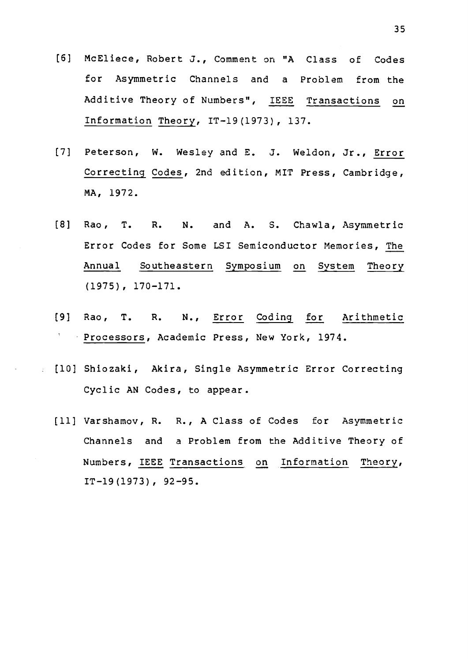- [6] McEliece, Robert J., Comment on "A Class of Codes for Asymmetric Channels and a Problem from the Additive Theory of Numbers", IEEE Transactions on Information Theory, IT-19(1973), 137.
- [7] Peterson, W. Wesley and E. J. Weldon, Jr., Error Correcting Codes, 2nd edition, MIT Press, Cambridge, MA, 1972.
- [8] Rao, T. R. N. and A. S. Chawla, Asymmetric Error Codes for Some LSI Semiconductor Memories, The Annual Southeastern Symposium on System Theory (1975), 170-171.
- [9] Rao, T. R. N., Error Coding for Arithmetic Processors, Academic Press, New York, 1974.
- [10] Shiozaki, Akira, Single Asymmetric Error Correcting Cyclic AN Codes, to appear.
	- [11] Varshamov, R. R., A Class of Codes for Asymmetric Channels and a Problem from the Additive Theory of Numbers, IEEE Transactions on Information Theory, IT-19(1973), 92-95.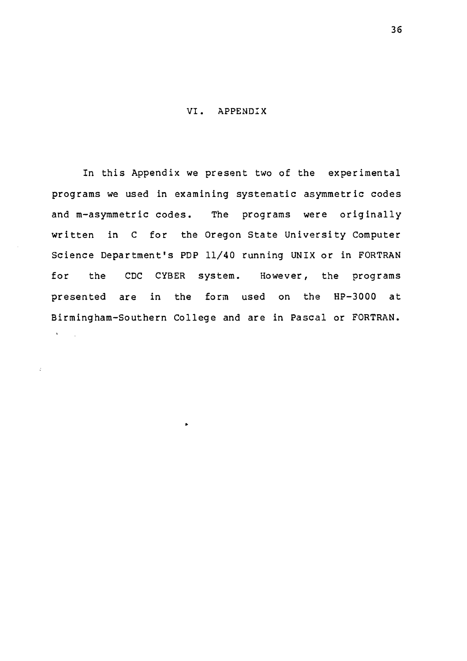#### VI. APPENDIX

In this Appendix we present two of the experimental programs we used in examining systematic asymmetric codes and m-asymmetric codes. The programs were originally written in C for the Oregon State University Computer Science Department's PDP 11/40 running UNIX or in FORTRAN for the CDC CYBER system. However, the programs presented are in the form used on the HP-3000 at Birmingham-Southern College and are in Pascal or FORTRAN. $\mathbf{v} = \mathbf{v}_1$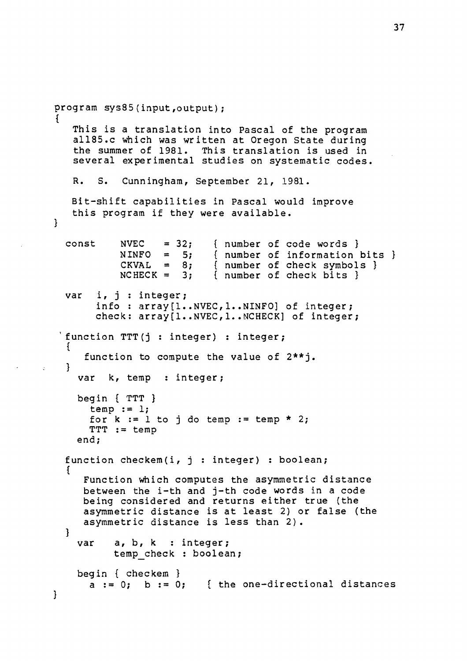```
program sys85(input,output);
   This is a translation into Pascal of the program
   a1185.c which was written at Oregon State during
   the summer of 1981. This translation is used in
   several experimental studies on systematic codes.
   R. S. Cunningham, September 21, 1981.
   Bit-shift capabilities in Pascal would improve
   this program if they were available.
₹.
  const NVEC = 32; { number of code words }
           NINFO = 5; { number of information bits }<br>CKVAL = 8; { number of check symbols }
           CKVAL = 8; { number of check symbols }<br>NCHECK = 3; { number of check bits }
                           { number of check bits }var i, j : integer;
       info : array[1..NVEC,1..NINFO] of integer;
       check: array[1..NVEC,1..NCHECK] of integer;
 'function TTT (j : integer) : integer;
     function to compute the value of 2**j.
  T
    var k, temp : integer;
    begin { TTT }
      temp := 1;for k := 1 to j do temp := temp * 2;
      TTT := temp
    end;
  function checkem(i, j : integer) : boolean;
  {
     Function which computes the asymmetric distance
     between the i-th and j-th code words in a code
     being considered and returns either true (the
     asymmetric distance is at least 2) or false (the
     asymmetric distance is less than 2).
  }
    var a, b, k : integer;
          temp check : boolean;
    begin { checkem }
      a := 0; b := 0; { the one-directional distances
}
```
÷.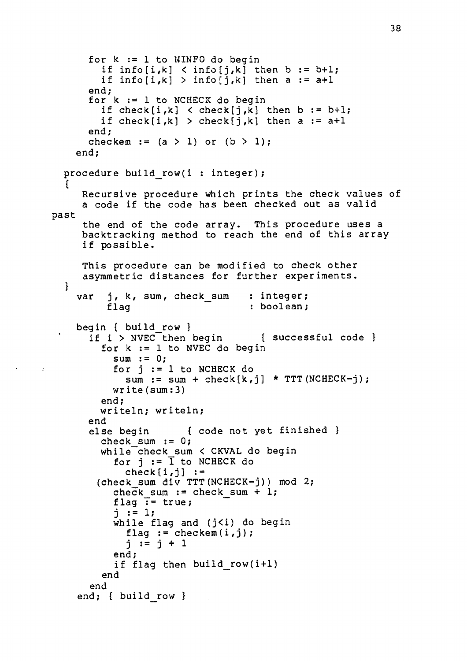```
for k := 1 to NINFO do begin
        if info[i,k] < info[j,k] then b := b+1;if info[i,k] > info[j,k] then a := a+1
      end;
      for k := 1 to NCHECK do begin
        if check[i, k] < check[j, k] then b := b+1;
        if check[i,k] > check[j,k] then a := a+1end;
      checkem := (a > 1) or (b > 1);
    end;
  procedure build row(i : integer);
     Recursive procedure which prints the check values of
     a code if the code has been checked out as valid
past
     the end of the code array. This procedure uses a
     backtracking method to reach the end of this array
     if possible.
  \mathbf{f}}
     This procedure can be modified to check other
     asymmetric distances for further experiments.
    var j, k, sum, check sum
         flag
                               : integer;
                                 : boolean;
    begin { build_row }
      if i > NVEC then begin { successful code }
        for k := 1 to NVEC do begin
          sum := 0;
          for j := 1 to NCHECK do
            sum := sum + check[k, j] * TTT(NCHECK-j);write(sum:3)
        end;
        writeln; writeln;
      end
      else begin { code not yet finished }
        check sum := 0;while check sum < CKVAL do begin
          for j := \overline{1} to NCHECK do
            check[i,j] :=
       (check sum div TTT(NCHECK-j)) mod 2;
          check sum := check sum + 1;
          flag \overline{P} = true;
          j := 1;while flag and (j<i) do begin
            flag := checkem(i,j);j := j + 1end;
          if flag then build row(i + l)end
      end
    end; { build row }
```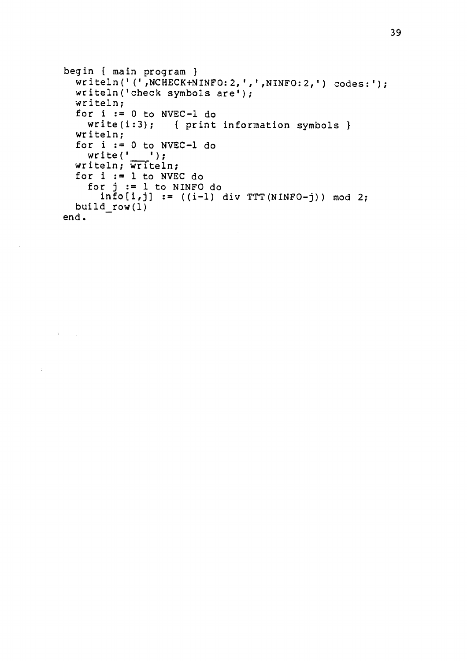```
begin ( main program }
  writeln('(',NCHECK+NINFO:2,',',NINFO:2,') codes:');
  writeln('check symbols are');
 writeln;
  for i := 0 to NVEC-1 do
   write(i:3); { print information symbols }
 writeln;
  for i := 0 to NVEC-1 do<br>write('___');
 writeln; writeln;
 for i := 1 to NVEC do
   for j := 1 to NINFO do
     info[i,j] := ((i-1) div TTT(NINFO-j)) mod 2;build_row(1)
end.
```
 $\sim$ 

 $\mathcal{A}^{\text{max}}_{\text{max}}$ 

 $\sim 200$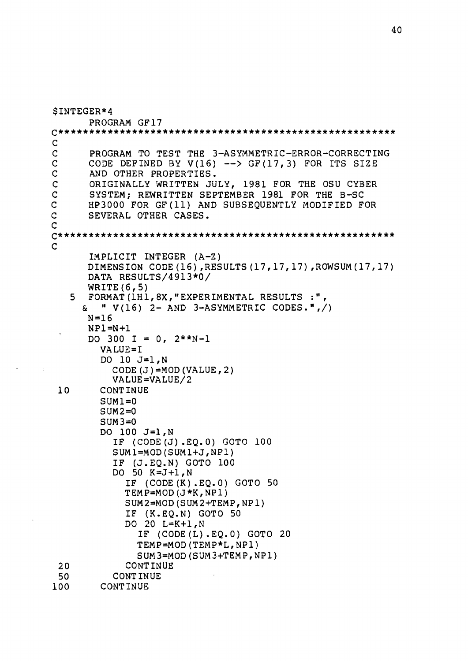```
$INTEGER *4
       PROGRAM GF17
c*************************w*****************************
\frac{c}{c}C PROGRAM TO TEST THE 3-ASYMMETRIC-ERROR-CORRECTING<br>C CODE DEFINED BY V(16) --> GF(17,3) FOR ITS SIZE
C CODE DEFINED BY V(16) --> GF(17,3) FOR ITS SIZE<br>C AND OTHER PROPERTIES.
C AND OTHER PROPERTIES.<br>C ORIGINALLY WRITTEN JU
C ORIGINALLY WRITTEN JULY, 1981 FOR THE OSU CYBER
C SYSTEM; REWRITTEN SEPTEMBER 1981 FOR THE B-SC<br>C HP3000 FOR GF(11) AND SUBSEOUENTLY MODIFIED F
C HP3000 FOR GF(11) AND SUBSEQUENTLY MODIFIED FOR<br>C SEVERAL OTHER CASES.
C SEVERAL OTHER CASES.
C<sub>c</sub>
C************************ * * * * * * * * * * * * * * * * * * * * * * * * * * * * * ** C<sub>c</sub>
       IMPLICIT INTEGER (A-Z)
       DIMENSION CODE(16),RESULTS(17,17,17),ROWSUM(17,17)
       DATA RESULTS/4913*0/
       WRITE(6,5)
   5 FORMAT(1H1,8X,"EXPERIMENTAL RESULTS :",
      \alpha " V(16) 2- AND 3-ASYMMETRIC CODES.",/)
       N=16NP1=N+1
       DO 300 I = 0, 2*+N-1VALUE=I
         DO 10 J=1,N
            CODE(J)=MOD(VALUE, 2)
            VALUE=VALUE/2
 10 CONTINUE
         SUM1=0SUM2=0SUM3=0DO 100 J=1,N
            IF (CODE(J).EQ.0) GOTO 100
            SUM1=MOD(SUM1+J,NP1)
            IF (J.EQ.N) GOTO 100
            DO 50 K=J+1,N
              IF (CODE(K).EQ.0) GOTO 50
              TEMP=MOD(J*K,NP1)
              SUM2=MOD(SUM2+TEMP,NP1)
              IF (K.EQ.N) GOTO 50
              DO 20 L=K+1,N
                 IF (CODE(L).EQ.0) GOTO 20
                 TEMP=MOD(TEMP*L,NP1)
                 SUM3 =MOD (SUM3 +TEMP,NP1)
 20 CONTINUE
50 CONTINUE<br>100 CONTINUE
         CONTINUE
```